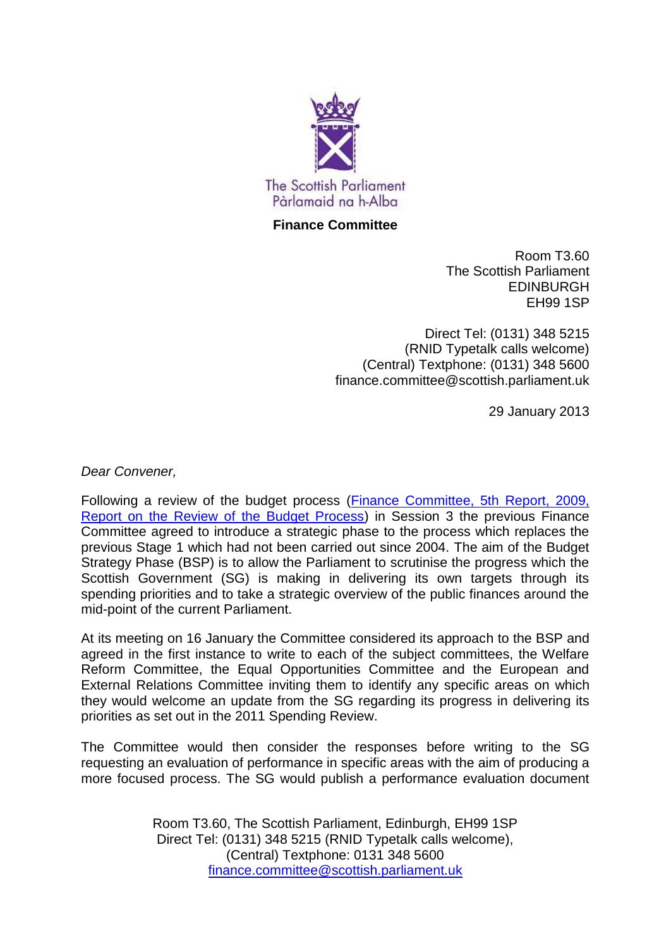

## **Finance Committee**

Room T3.60 The Scottish Parliament EDINBURGH EH99 1SP

Direct Tel: (0131) 348 5215 (RNID Typetalk calls welcome) (Central) Textphone: (0131) 348 5600 finance.committee@scottish.parliament.uk

29 January 2013

*Dear Convener,*

Following a review of the budget process [\(Finance Committee, 5th Report, 2009,](http://www.scottish.parliament.uk/parliamentarybusiness/PreviousCommittees/18981.aspx)  [Report on the Review of the Budget Process\)](http://www.scottish.parliament.uk/parliamentarybusiness/PreviousCommittees/18981.aspx) in Session 3 the previous Finance Committee agreed to introduce a strategic phase to the process which replaces the previous Stage 1 which had not been carried out since 2004. The aim of the Budget Strategy Phase (BSP) is to allow the Parliament to scrutinise the progress which the Scottish Government (SG) is making in delivering its own targets through its spending priorities and to take a strategic overview of the public finances around the mid-point of the current Parliament.

At its meeting on 16 January the Committee considered its approach to the BSP and agreed in the first instance to write to each of the subject committees, the Welfare Reform Committee, the Equal Opportunities Committee and the European and External Relations Committee inviting them to identify any specific areas on which they would welcome an update from the SG regarding its progress in delivering its priorities as set out in the 2011 Spending Review.

The Committee would then consider the responses before writing to the SG requesting an evaluation of performance in specific areas with the aim of producing a more focused process. The SG would publish a performance evaluation document

> Room T3.60, The Scottish Parliament, Edinburgh, EH99 1SP Direct Tel: (0131) 348 5215 (RNID Typetalk calls welcome), (Central) Textphone: 0131 348 5600 [finance.committee@scottish.parliament.uk](mailto:finance.committee@scottish.parliament.uk)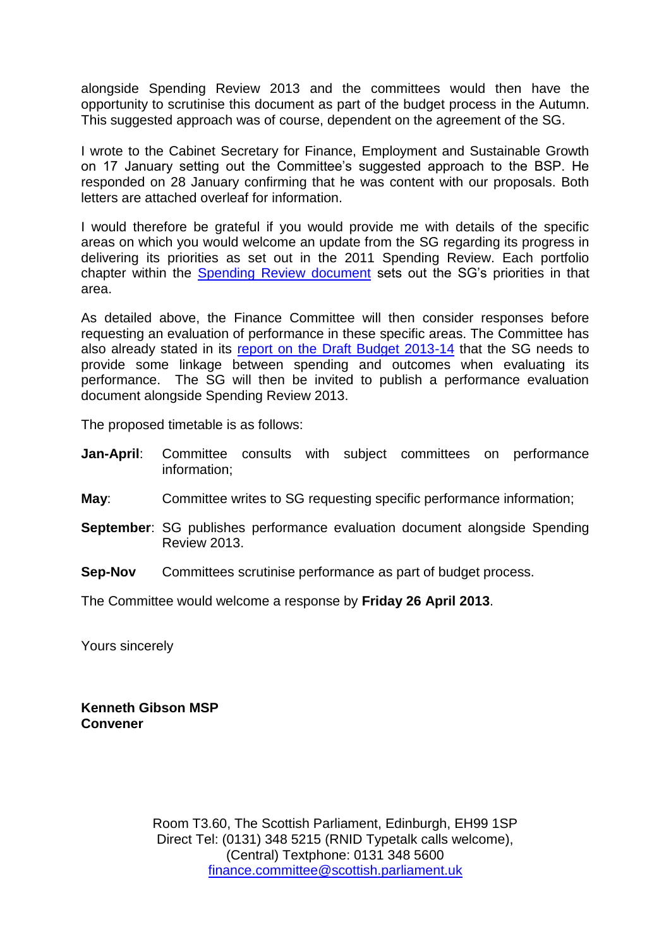alongside Spending Review 2013 and the committees would then have the opportunity to scrutinise this document as part of the budget process in the Autumn. This suggested approach was of course, dependent on the agreement of the SG.

I wrote to the Cabinet Secretary for Finance, Employment and Sustainable Growth on 17 January setting out the Committee's suggested approach to the BSP. He responded on 28 January confirming that he was content with our proposals. Both letters are attached overleaf for information.

I would therefore be grateful if you would provide me with details of the specific areas on which you would welcome an update from the SG regarding its progress in delivering its priorities as set out in the 2011 Spending Review. Each portfolio chapter within the [Spending Review document](http://www.scotland.gov.uk/Publications/2011/10/04153155/0) sets out the SG's priorities in that area.

As detailed above, the Finance Committee will then consider responses before requesting an evaluation of performance in these specific areas. The Committee has also already stated in its [report on the Draft Budget 2013-14](http://www.scottish.parliament.uk/parliamentarybusiness/CurrentCommittees/57685.aspx) that the SG needs to provide some linkage between spending and outcomes when evaluating its performance. The SG will then be invited to publish a performance evaluation document alongside Spending Review 2013.

The proposed timetable is as follows:

- **Jan-April**: Committee consults with subject committees on performance information;
- **May**: Committee writes to SG requesting specific performance information;
- **September**: SG publishes performance evaluation document alongside Spending Review 2013.
- **Sep-Nov** Committees scrutinise performance as part of budget process.

The Committee would welcome a response by **Friday 26 April 2013**.

Yours sincerely

**Kenneth Gibson MSP Convener**

> Room T3.60, The Scottish Parliament, Edinburgh, EH99 1SP Direct Tel: (0131) 348 5215 (RNID Typetalk calls welcome), (Central) Textphone: 0131 348 5600 [finance.committee@scottish.parliament.uk](mailto:finance.committee@scottish.parliament.uk)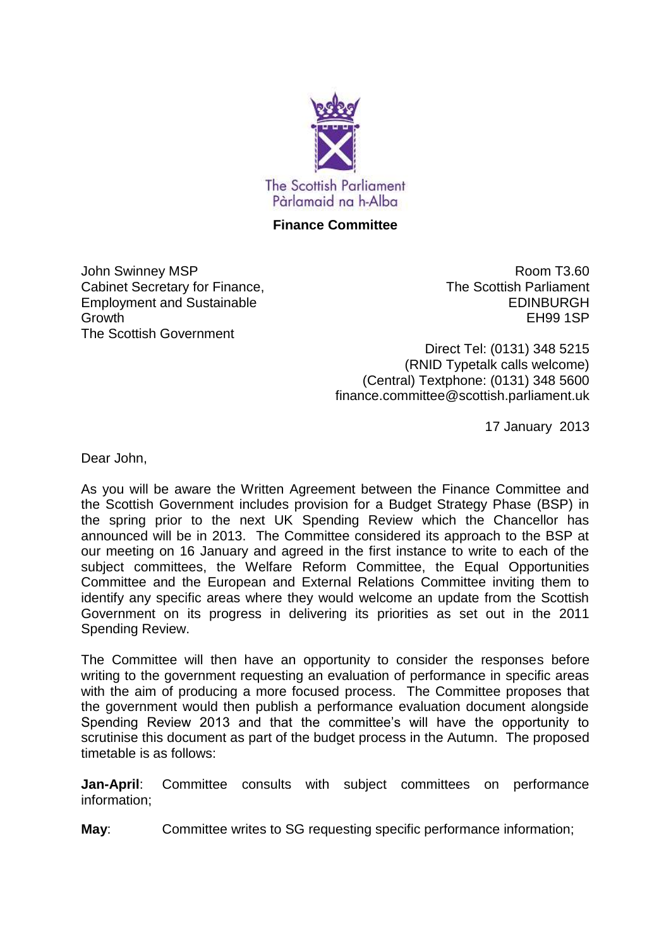

## **Finance Committee**

John Swinney MSP Cabinet Secretary for Finance, Employment and Sustainable Growth The Scottish Government

Room T3.60 The Scottish Parliament EDINBURGH EH99 1SP

Direct Tel: (0131) 348 5215 (RNID Typetalk calls welcome) (Central) Textphone: (0131) 348 5600 finance.committee@scottish.parliament.uk

17 January 2013

Dear John,

As you will be aware the Written Agreement between the Finance Committee and the Scottish Government includes provision for a Budget Strategy Phase (BSP) in the spring prior to the next UK Spending Review which the Chancellor has announced will be in 2013. The Committee considered its approach to the BSP at our meeting on 16 January and agreed in the first instance to write to each of the subject committees, the Welfare Reform Committee, the Equal Opportunities Committee and the European and External Relations Committee inviting them to identify any specific areas where they would welcome an update from the Scottish Government on its progress in delivering its priorities as set out in the 2011 Spending Review.

The Committee will then have an opportunity to consider the responses before writing to the government requesting an evaluation of performance in specific areas with the aim of producing a more focused process. The Committee proposes that the government would then publish a performance evaluation document alongside Spending Review 2013 and that the committee's will have the opportunity to scrutinise this document as part of the budget process in the Autumn. The proposed timetable is as follows:

**Jan-April**: Committee consults with subject committees on performance information;

**May**: Committee writes to SG requesting specific performance information;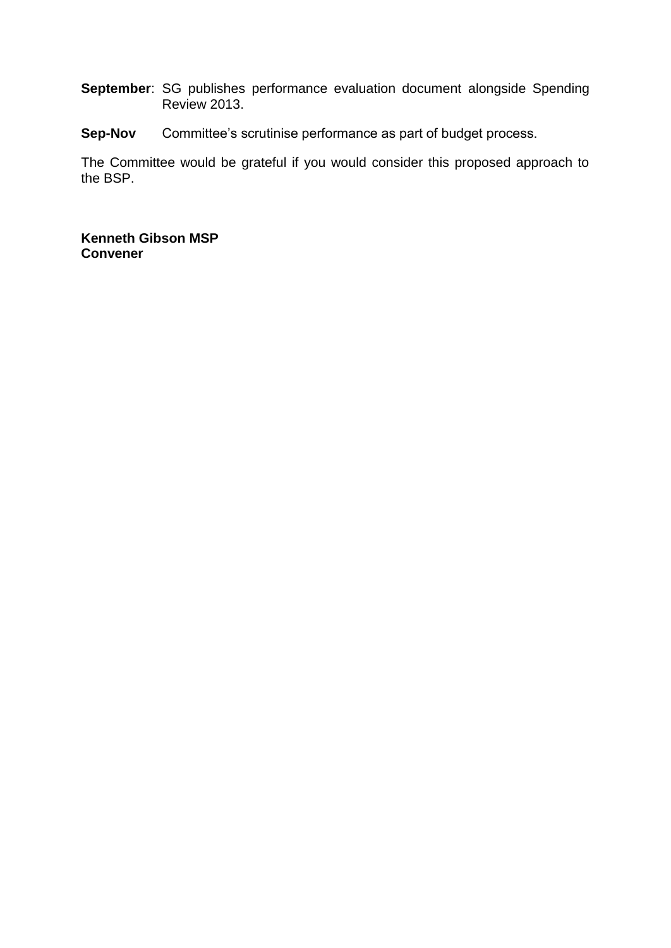- **September**: SG publishes performance evaluation document alongside Spending Review 2013.
- **Sep-Nov** Committee's scrutinise performance as part of budget process.

The Committee would be grateful if you would consider this proposed approach to the BSP.

**Kenneth Gibson MSP Convener**